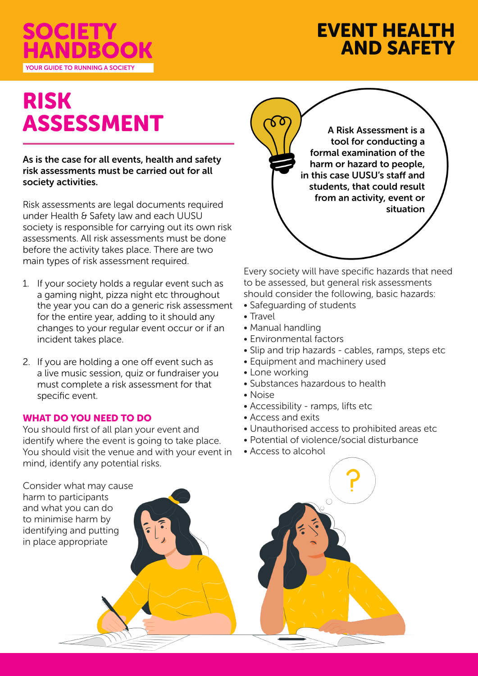

## EVENT HEALTH AND SAFETY

# RISK ASSESSMENT

As is the case for all events, health and safety risk assessments must be carried out for all society activities.

Risk assessments are legal documents required under Health & Safety law and each UUSU society is responsible for carrying out its own risk assessments. All risk assessments must be done before the activity takes place. There are two main types of risk assessment required.

- 1. If your society holds a regular event such as a gaming night, pizza night etc throughout the year you can do a generic risk assessment for the entire year, adding to it should any changes to your regular event occur or if an incident takes place.
- 2. If you are holding a one off event such as a live music session, quiz or fundraiser you must complete a risk assessment for that specific event.

### WHAT DO YOU NEED TO DO

You should first of all plan your event and identify where the event is going to take place. You should visit the venue and with your event in mind, identify any potential risks.



Every society will have specific hazards that need to be assessed, but general risk assessments should consider the following, basic hazards:

- Safeguarding of students
- Travel
- Manual handling
- Environmental factors
- Slip and trip hazards cables, ramps, steps etc
- Equipment and machinery used
- Lone working
- Substances hazardous to health
- Noise
- Accessibility ramps, lifts etc
- Access and exits
- Unauthorised access to prohibited areas etc
- Potential of violence/social disturbance
- Access to alcohol